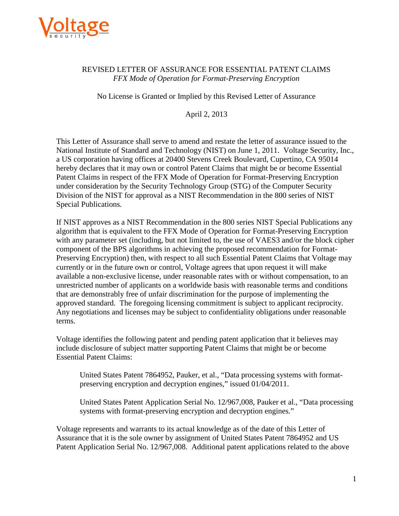

## REVISED LETTER OF ASSURANCE FOR ESSENTIAL PATENT CLAIMS *FFX Mode of Operation for Format-Preserving Encryption*

No License is Granted or Implied by this Revised Letter of Assurance

April 2, 2013

 This Letter of Assurance shall serve to amend and restate the letter of assurance issued to the Division of the NIST for approval as a NIST Recommendation in the 800 series of NIST National Institute of Standard and Technology (NIST) on June 1, 2011. Voltage Security, Inc., a US corporation having offices at 20400 Stevens Creek Boulevard, Cupertino, CA 95014 hereby declares that it may own or control Patent Claims that might be or become Essential Patent Claims in respect of the FFX Mode of Operation for Format-Preserving Encryption under consideration by the Security Technology Group (STG) of the Computer Security Special Publications.

 with any parameter set (including, but not limited to, the use of VAES3 and/or the block cipher currently or in the future own or control, Voltage agrees that upon request it will make approved standard. The foregoing licensing commitment is subject to applicant reciprocity. terms. If NIST approves as a NIST Recommendation in the 800 series NIST Special Publications any algorithm that is equivalent to the FFX Mode of Operation for Format-Preserving Encryption component of the BPS algorithms in achieving the proposed recommendation for Format-Preserving Encryption) then, with respect to all such Essential Patent Claims that Voltage may available a non-exclusive license, under reasonable rates with or without compensation, to an unrestricted number of applicants on a worldwide basis with reasonable terms and conditions that are demonstrably free of unfair discrimination for the purpose of implementing the Any negotiations and licenses may be subject to confidentiality obligations under reasonable

Voltage identifies the following patent and pending patent application that it believes may include disclosure of subject matter supporting Patent Claims that might be or become Essential Patent Claims:

United States Patent 7864952, Pauker, et al., "Data processing systems with formatpreserving encryption and decryption engines," issued 01/04/2011.

United States Patent Application Serial No. 12/967,008, Pauker et al., "Data processing systems with format-preserving encryption and decryption engines."

 Voltage represents and warrants to its actual knowledge as of the date of this Letter of Assurance that it is the sole owner by assignment of United States Patent 7864952 and US Patent Application Serial No. 12/967,008. Additional patent applications related to the above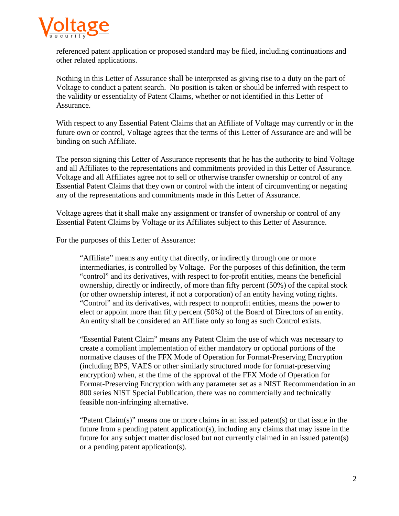

referenced patent application or proposed standard may be filed, including continuations and other related applications.

 Nothing in this Letter of Assurance shall be interpreted as giving rise to a duty on the part of the validity or essentiality of Patent Claims, whether or not identified in this Letter of Voltage to conduct a patent search. No position is taken or should be inferred with respect to Assurance.

With respect to any Essential Patent Claims that an Affiliate of Voltage may currently or in the future own or control, Voltage agrees that the terms of this Letter of Assurance are and will be binding on such Affiliate.

The person signing this Letter of Assurance represents that he has the authority to bind Voltage and all Affiliates to the representations and commitments provided in this Letter of Assurance. Voltage and all Affiliates agree not to sell or otherwise transfer ownership or control of any Essential Patent Claims that they own or control with the intent of circumventing or negating any of the representations and commitments made in this Letter of Assurance.

Voltage agrees that it shall make any assignment or transfer of ownership or control of any Essential Patent Claims by Voltage or its Affiliates subject to this Letter of Assurance.

For the purposes of this Letter of Assurance:

 ownership, directly or indirectly, of more than fifty percent (50%) of the capital stock "Affiliate" means any entity that directly, or indirectly through one or more intermediaries, is controlled by Voltage. For the purposes of this definition, the term "control" and its derivatives, with respect to for-profit entities, means the beneficial (or other ownership interest, if not a corporation) of an entity having voting rights. "Control" and its derivatives, with respect to nonprofit entities, means the power to elect or appoint more than fifty percent (50%) of the Board of Directors of an entity. An entity shall be considered an Affiliate only so long as such Control exists.

 encryption) when, at the time of the approval of the FFX Mode of Operation for "Essential Patent Claim" means any Patent Claim the use of which was necessary to create a compliant implementation of either mandatory or optional portions of the normative clauses of the FFX Mode of Operation for Format-Preserving Encryption (including BPS, VAES or other similarly structured mode for format-preserving Format-Preserving Encryption with any parameter set as a NIST Recommendation in an 800 series NIST Special Publication, there was no commercially and technically feasible non-infringing alternative.

 "Patent Claim(s)" means one or more claims in an issued patent(s) or that issue in the future from a pending patent application(s), including any claims that may issue in the future for any subject matter disclosed but not currently claimed in an issued patent(s) or a pending patent application(s).